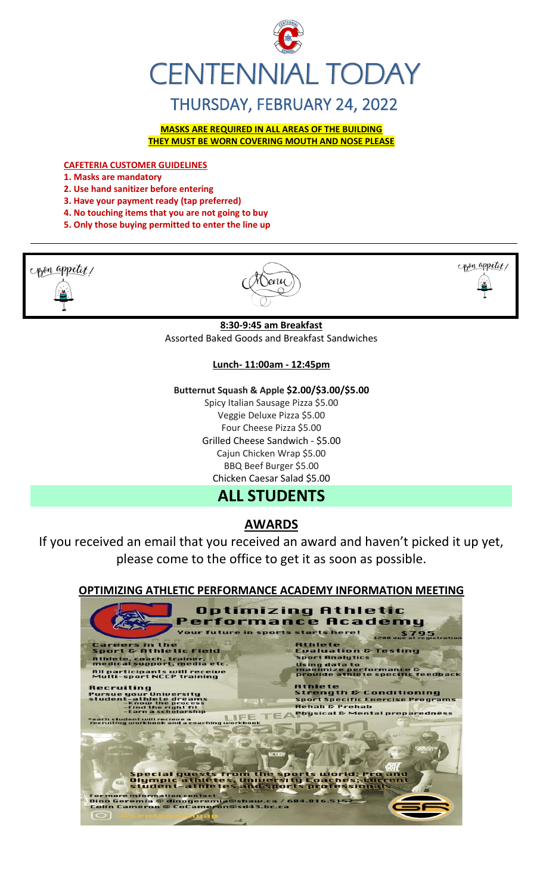

# THURSDAY, FEBRUARY 24, 2022

**MASKS ARE REQUIRED IN ALL AREAS OF THE BUILDING THEY MUST BE WORN COVERING MOUTH AND NOSE PLEASE**

**CAFETERIA CUSTOMER GUIDELINES**

- **1. Masks are mandatory**
- **2. Use hand sanitizer before entering**
- **3. Have your payment ready (tap preferred)**
- **4. No touching items that you are not going to buy**
- **5. Only those buying permitted to enter the line up**



 $\sqrt{$ 



**8:30-9:45 am Breakfast** Assorted Baked Goods and Breakfast Sandwiches

#### **Lunch- 11:00am - 12:45pm**

**Butternut Squash & Apple \$2.00/\$3.00/\$5.00**

Spicy Italian Sausage Pizza \$5.00 Veggie Deluxe Pizza \$5.00 Four Cheese Pizza \$5.00 Grilled Cheese Sandwich - \$5.00 Cajun Chicken Wrap \$5.00 BBQ Beef Burger \$5.00 Chicken Caesar Salad \$5.00

# **ALL STUDENTS**

# **AWARDS**

If you received an email that you received an award and haven't picked it up yet, please come to the office to get it as soon as possible.

## **OPTIMIZING ATHLETIC PERFORMANCE ACADEMY INFORMATION MEETING**

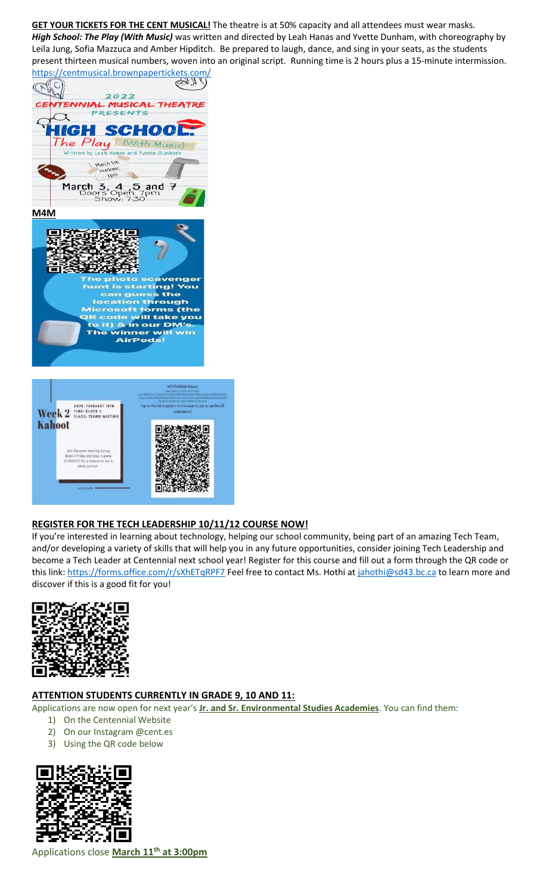**GET YOUR TICKETS FOR THE CENT MUSICAL!** The theatre is at 50% capacity and all attendees must wear masks. *High School: The Play (With Music)* was written and directed by Leah Hanas and Yvette Dunham, with choreography by Leila Jung, Sofia Mazzuca and Amber Hipditch. Be prepared to laugh, dance, and sing in your seats, as the students present thirteen musical numbers, woven into an original script. Running time is 2 hours plus a 15-minute intermission.



## **REGISTER FOR THE TECH LEADERSHIP 10/11/12 COURSE NOW!**

П

If you're interested in learning about technology, helping our school community, being part of an amazing Tech Team, and/or developing a variety of skills that will help you in any future opportunities, consider joining Tech Leadership and become a Tech Leader at Centennial next school year! Register for this course and fill out a form through the QR code or this link:<https://forms.office.com/r/sXhETqRPF7> Feel free to contact Ms. Hothi at [jahothi@sd43.bc.ca](mailto:jahothi@sd43.bc.ca) to learn more and discover if this is a good fit for you!



#### **ATTENTION STUDENTS CURRENTLY IN GRADE 9, 10 AND 11:**

Applications are now open for next year's **Jr. and Sr. Environmental Studies Academies**. You can find them:

- 1) On the Centennial Website
- 2) On our Instagram @cent.es
- 3) Using the QR code below



Applications close **March 11th at 3:00pm**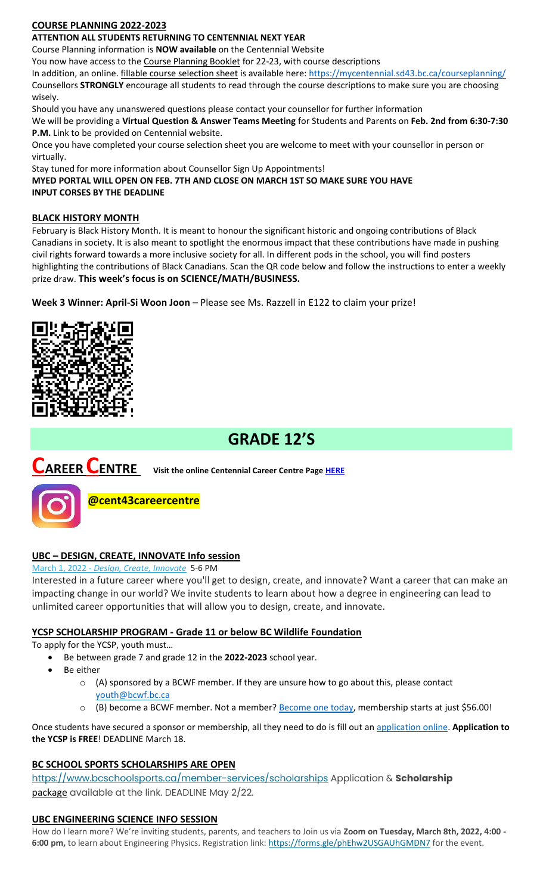## **COURSE PLANNING 2022-2023**

## **ATTENTION ALL STUDENTS RETURNING TO CENTENNIAL NEXT YEAR**

Course Planning information is **NOW available** on the Centennial Website

You now have access to the Course Planning Booklet for 22-23, with course descriptions

In addition, an online. *fillable course selection sheet* is available here:<https://mycentennial.sd43.bc.ca/courseplanning/> Counsellors **STRONGLY** encourage all students to read through the course descriptions to make sure you are choosing wisely.

Should you have any unanswered questions please contact your counsellor for further information We will be providing a **Virtual Question & Answer Teams Meeting** for Students and Parents on **Feb. 2nd from 6:30-7:30 P.M.** Link to be provided on Centennial website.

Once you have completed your course selection sheet you are welcome to meet with your counsellor in person or virtually.

Stay tuned for more information about Counsellor Sign Up Appointments!

**MYED PORTAL WILL OPEN ON FEB. 7TH AND CLOSE ON MARCH 1ST SO MAKE SURE YOU HAVE INPUT CORSES BY THE DEADLINE** 

#### **BLACK HISTORY MONTH**

February is Black History Month. It is meant to honour the significant historic and ongoing contributions of Black Canadians in society. It is also meant to spotlight the enormous impact that these contributions have made in pushing civil rights forward towards a more inclusive society for all. In different pods in the school, you will find posters highlighting the contributions of Black Canadians. Scan the QR code below and follow the instructions to enter a weekly prize draw. **This week's focus is on SCIENCE/MATH/BUSINESS.**

**Week 3 Winner: April-Si Woon Joon** – Please see Ms. Razzell in E122 to claim your prize!



# **GRADE 12'S**

# **CAREER CENTRE Visit the online Centennial Career Centre Page [HERE](https://www.sd43.bc.ca/school/centennial/ProgramsServices/CareerCentre/experiences/Pages/default.aspx#/=)**



**@cent43careercentre** 

## **UBC – DESIGN, CREATE, INNOVATE Info session**

March 1, 2022 - *[Design, Create, Innovate](https://usend.ubc.ca/sendy/l/rIVID892cGlXFhKkqDAP4pPw/CoLQGWp5F1aXR61frGQTLg/2NVMXaF6kwoqb0Zu2zyabA)* 5-6 PM

Interested in a future career where you'll get to design, create, and innovate? Want a career that can make an impacting change in our world? We invite students to learn about how a degree in engineering can lead to unlimited career opportunities that will allow you to design, create, and innovate.

#### **YCSP SCHOLARSHIP PROGRAM - Grade 11 or below BC Wildlife Foundation**

To apply for the YCSP, youth must…

- Be between grade 7 and grade 12 in the **2022-2023** school year.
- Be either
	- $\circ$  (A) sponsored by a BCWF member. If they are unsure how to go about this, please contact [youth@bcwf.bc.ca](mailto:youth@bcwf.bc.ca)
	- $\circ$  (B) become a BCWF member. Not a member? **Become one today**, membership starts at just \$56.00!

Once students have secured a sponsor or membership, all they need to do is fill out a[n application online.](https://bcwf.bc.ca/young-conservationist-scholarship-program/) **Application to the YCSP is FREE**! DEADLINE March 18.

## **BC SCHOOL SPORTS SCHOLARSHIPS ARE OPEN**

<https://www.bcschoolsports.ca/member-services/scholarships> Application & **Scholarship**  package available at the link. DEADLINE May 2/22.

#### **UBC ENGINEERING SCIENCE INFO SESSION**

How do I learn more? We're inviting students, parents, and teachers to Join us via **Zoom on Tuesday, March 8th, 2022, 4:00**  6:00 pm, to learn about Engineering Physics. Registration link: <https://forms.gle/phEhw2USGAUhGMDN7> for the event.